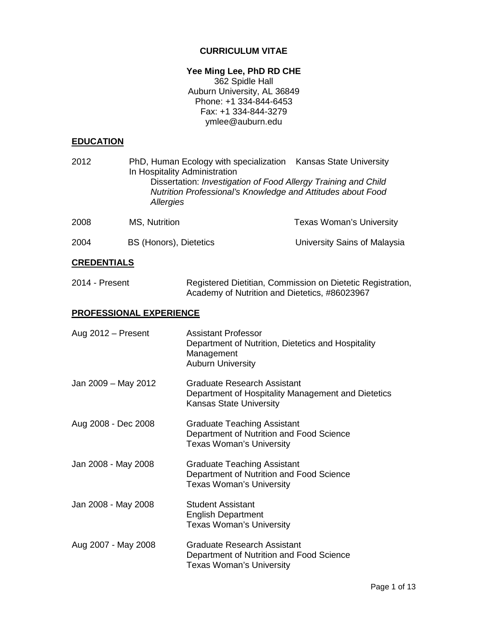# **CURRICULUM VITAE**

# **Yee Ming Lee, PhD RD CHE**

362 Spidle Hall Auburn University, AL 36849 Phone: +1 334-844-6453 Fax: +1 334-844-3279 ymlee@auburn.edu

# **EDUCATION**

| 2012                           | In Hospitality Administration<br>Allergies | PhD, Human Ecology with specialization Kansas State University<br>Dissertation: Investigation of Food Allergy Training and Child<br>Nutrition Professional's Knowledge and Attitudes about Food |                                                            |
|--------------------------------|--------------------------------------------|-------------------------------------------------------------------------------------------------------------------------------------------------------------------------------------------------|------------------------------------------------------------|
| 2008                           | MS, Nutrition                              |                                                                                                                                                                                                 | <b>Texas Woman's University</b>                            |
| 2004                           | <b>BS (Honors), Dietetics</b>              |                                                                                                                                                                                                 | University Sains of Malaysia                               |
| <b>CREDENTIALS</b>             |                                            |                                                                                                                                                                                                 |                                                            |
| 2014 - Present                 |                                            | Academy of Nutrition and Dietetics, #86023967                                                                                                                                                   | Registered Dietitian, Commission on Dietetic Registration, |
| <b>PROFESSIONAL EXPERIENCE</b> |                                            |                                                                                                                                                                                                 |                                                            |
| Aug 2012 - Present             |                                            | <b>Assistant Professor</b><br>Department of Nutrition, Dietetics and Hospitality<br>Management<br><b>Auburn University</b>                                                                      |                                                            |
| Jan 2009 - May 2012            |                                            | <b>Graduate Research Assistant</b><br>Department of Hospitality Management and Dietetics<br>Kansas State University                                                                             |                                                            |
| Aug 2008 - Dec 2008            |                                            | <b>Graduate Teaching Assistant</b><br>Department of Nutrition and Food Science<br><b>Texas Woman's University</b>                                                                               |                                                            |
| Jan 2008 - May 2008            |                                            | <b>Graduate Teaching Assistant</b><br>Department of Nutrition and Food Science<br><b>Texas Woman's University</b>                                                                               |                                                            |
| Jan 2008 - May 2008            |                                            | <b>Student Assistant</b><br><b>English Department</b><br><b>Texas Woman's University</b>                                                                                                        |                                                            |
| Aug 2007 - May 2008            |                                            | <b>Graduate Research Assistant</b><br>Department of Nutrition and Food Science<br><b>Texas Woman's University</b>                                                                               |                                                            |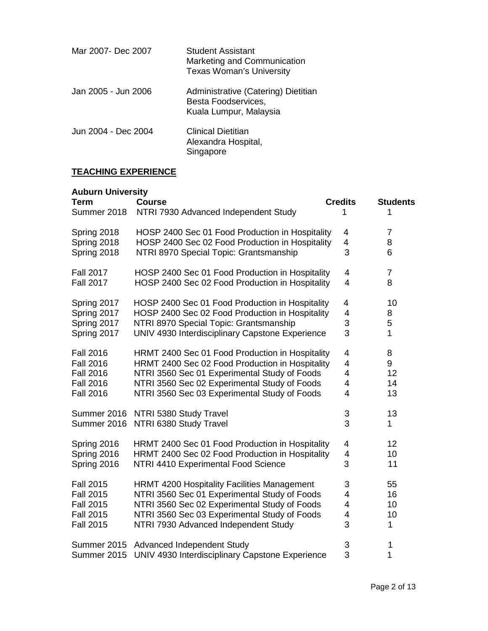| Mar 2007- Dec 2007  | <b>Student Assistant</b><br>Marketing and Communication<br><b>Texas Woman's University</b> |
|---------------------|--------------------------------------------------------------------------------------------|
| Jan 2005 - Jun 2006 | Administrative (Catering) Dietitian<br>Besta Foodservices,<br>Kuala Lumpur, Malaysia       |
| Jun 2004 - Dec 2004 | Clinical Dietitian<br>Alexandra Hospital,<br>Singapore                                     |

# **TEACHING EXPERIENCE**

| <b>Auburn University</b><br><b>Term</b><br>Summer 2018 | <b>Course</b><br>NTRI 7930 Advanced Independent Study | <b>Credits</b><br>1       | <b>Students</b><br>1 |
|--------------------------------------------------------|-------------------------------------------------------|---------------------------|----------------------|
| Spring 2018                                            | HOSP 2400 Sec 01 Food Production in Hospitality       | 4                         | $\overline{7}$       |
| Spring 2018                                            | HOSP 2400 Sec 02 Food Production in Hospitality       | 4                         | 8                    |
| Spring 2018                                            | NTRI 8970 Special Topic: Grantsmanship                | 3                         | 6                    |
| <b>Fall 2017</b>                                       | HOSP 2400 Sec 01 Food Production in Hospitality       | 4                         | $\overline{7}$       |
| <b>Fall 2017</b>                                       | HOSP 2400 Sec 02 Food Production in Hospitality       | 4                         | 8                    |
| Spring 2017                                            | HOSP 2400 Sec 01 Food Production in Hospitality       | 4                         | 10                   |
| Spring 2017                                            | HOSP 2400 Sec 02 Food Production in Hospitality       | 4                         | 8                    |
| Spring 2017                                            | NTRI 8970 Special Topic: Grantsmanship                | 3                         | 5                    |
| Spring 2017                                            | UNIV 4930 Interdisciplinary Capstone Experience       | 3                         | 1                    |
| <b>Fall 2016</b>                                       | HRMT 2400 Sec 01 Food Production in Hospitality       | 4                         | 8                    |
| <b>Fall 2016</b>                                       | HRMT 2400 Sec 02 Food Production in Hospitality       | 4                         | 9                    |
| <b>Fall 2016</b>                                       | NTRI 3560 Sec 01 Experimental Study of Foods          | 4                         | 12                   |
| <b>Fall 2016</b>                                       | NTRI 3560 Sec 02 Experimental Study of Foods          | 4                         | 14                   |
| <b>Fall 2016</b>                                       | NTRI 3560 Sec 03 Experimental Study of Foods          | 4                         | 13                   |
| Summer 2016                                            | NTRI 5380 Study Travel                                | $\ensuremath{\mathsf{3}}$ | 13                   |
| Summer 2016                                            | NTRI 6380 Study Travel                                | 3                         | 1                    |
| Spring 2016                                            | HRMT 2400 Sec 01 Food Production in Hospitality       | 4                         | 12                   |
| Spring 2016                                            | HRMT 2400 Sec 02 Food Production in Hospitality       | 4                         | 10                   |
| Spring 2016                                            | NTRI 4410 Experimental Food Science                   | 3                         | 11                   |
| <b>Fall 2015</b>                                       | <b>HRMT 4200 Hospitality Facilities Management</b>    | 3                         | 55                   |
| <b>Fall 2015</b>                                       | NTRI 3560 Sec 01 Experimental Study of Foods          | 4                         | 16                   |
| <b>Fall 2015</b>                                       | NTRI 3560 Sec 02 Experimental Study of Foods          | 4                         | 10                   |
| <b>Fall 2015</b>                                       | NTRI 3560 Sec 03 Experimental Study of Foods          | 4                         | 10                   |
| <b>Fall 2015</b>                                       | NTRI 7930 Advanced Independent Study                  | 3                         | $\mathbf{1}$         |
| Summer 2015                                            | Advanced Independent Study                            | $\ensuremath{\mathsf{3}}$ | 1                    |
| Summer 2015                                            | UNIV 4930 Interdisciplinary Capstone Experience       | 3                         | 1                    |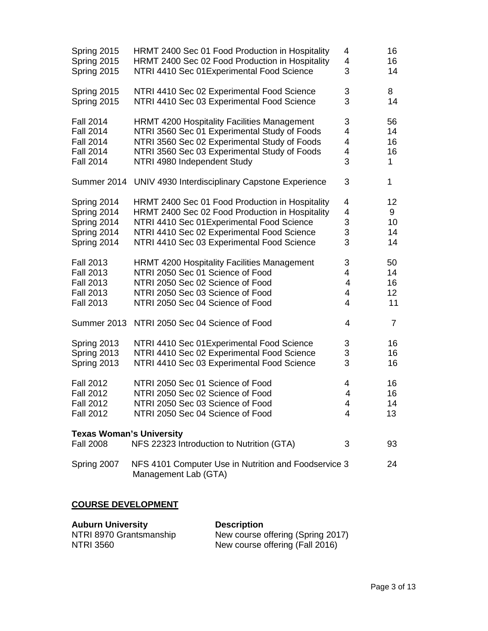| Spring 2015                                         | HRMT 2400 Sec 01 Food Production in Hospitality                              | 4              | 16             |
|-----------------------------------------------------|------------------------------------------------------------------------------|----------------|----------------|
| Spring 2015                                         | HRMT 2400 Sec 02 Food Production in Hospitality                              | 4              | 16             |
| Spring 2015                                         | NTRI 4410 Sec 01 Experimental Food Science                                   | 3              | 14             |
| Spring 2015                                         | NTRI 4410 Sec 02 Experimental Food Science                                   | 3              | 8              |
| Spring 2015                                         | NTRI 4410 Sec 03 Experimental Food Science                                   | 3              | 14             |
| <b>Fall 2014</b>                                    | <b>HRMT 4200 Hospitality Facilities Management</b>                           | 3              | 56             |
| <b>Fall 2014</b>                                    | NTRI 3560 Sec 01 Experimental Study of Foods                                 | 4              | 14             |
| <b>Fall 2014</b>                                    | NTRI 3560 Sec 02 Experimental Study of Foods                                 | 4              | 16             |
| <b>Fall 2014</b>                                    | NTRI 3560 Sec 03 Experimental Study of Foods                                 | 4              | 16             |
| <b>Fall 2014</b>                                    | NTRI 4980 Independent Study                                                  | 3              | 1              |
|                                                     | Summer 2014 UNIV 4930 Interdisciplinary Capstone Experience                  | 3              | 1              |
| Spring 2014                                         | HRMT 2400 Sec 01 Food Production in Hospitality                              | 4              | 12             |
| Spring 2014                                         | HRMT 2400 Sec 02 Food Production in Hospitality                              | 4              | 9              |
| Spring 2014                                         | NTRI 4410 Sec 01 Experimental Food Science                                   | 3              | 10             |
| Spring 2014                                         | NTRI 4410 Sec 02 Experimental Food Science                                   | 3              | 14             |
| Spring 2014                                         | NTRI 4410 Sec 03 Experimental Food Science                                   | 3              | 14             |
| <b>Fall 2013</b>                                    | <b>HRMT 4200 Hospitality Facilities Management</b>                           | 3              | 50             |
| <b>Fall 2013</b>                                    | NTRI 2050 Sec 01 Science of Food                                             | 4              | 14             |
| <b>Fall 2013</b>                                    | NTRI 2050 Sec 02 Science of Food                                             | 4              | 16             |
| <b>Fall 2013</b>                                    | NTRI 2050 Sec 03 Science of Food                                             | 4              | 12             |
| <b>Fall 2013</b>                                    | NTRI 2050 Sec 04 Science of Food                                             | 4              | 11             |
|                                                     | Summer 2013 NTRI 2050 Sec 04 Science of Food                                 | 4              | $\overline{7}$ |
| Spring 2013                                         | NTRI 4410 Sec 01 Experimental Food Science                                   | 3              | 16             |
| Spring 2013                                         | NTRI 4410 Sec 02 Experimental Food Science                                   | 3              | 16             |
| Spring 2013                                         | NTRI 4410 Sec 03 Experimental Food Science                                   | 3              | 16             |
| <b>Fall 2012</b>                                    | NTRI 2050 Sec 01 Science of Food                                             | 4              | 16             |
| <b>Fall 2012</b>                                    | NTRI 2050 Sec 02 Science of Food                                             | $\overline{4}$ | 16             |
| <b>Fall 2012</b>                                    | NTRI 2050 Sec 03 Science of Food                                             | 4              | 14             |
| <b>Fall 2012</b>                                    | NTRI 2050 Sec 04 Science of Food                                             | 4              | 13             |
| <b>Texas Woman's University</b><br><b>Fall 2008</b> | NFS 22323 Introduction to Nutrition (GTA)                                    | 3              | 93             |
| Spring 2007                                         | NFS 4101 Computer Use in Nutrition and Foodservice 3<br>Management Lab (GTA) |                | 24             |

# **COURSE DEVELOPMENT**

| <b>Auburn University</b> | <b>Description</b>                |
|--------------------------|-----------------------------------|
| NTRI 8970 Grantsmanship  | New course offering (Spring 2017) |
| <b>NTRI 3560</b>         | New course offering (Fall 2016)   |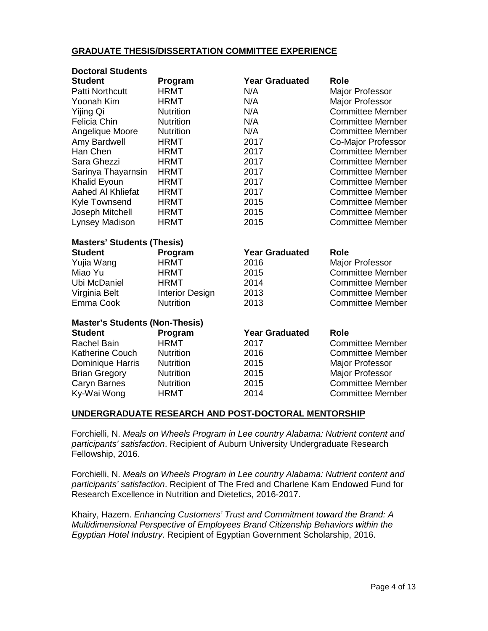#### **GRADUATE THESIS/DISSERTATION COMMITTEE EXPERIENCE**

| <b>Doctoral Students</b>              |                        |                       |                         |
|---------------------------------------|------------------------|-----------------------|-------------------------|
| <b>Student</b>                        | Program                | <b>Year Graduated</b> | Role                    |
| <b>Patti Northcutt</b>                | <b>HRMT</b>            | N/A                   | Major Professor         |
| Yoonah Kim                            | <b>HRMT</b>            | N/A                   | <b>Major Professor</b>  |
| Yijing Qi                             | <b>Nutrition</b>       | N/A                   | <b>Committee Member</b> |
| <b>Felicia Chin</b>                   | <b>Nutrition</b>       | N/A                   | <b>Committee Member</b> |
| Angelique Moore                       | <b>Nutrition</b>       | N/A                   | <b>Committee Member</b> |
| Amy Bardwell                          | <b>HRMT</b>            | 2017                  | Co-Major Professor      |
| Han Chen                              | <b>HRMT</b>            | 2017                  | <b>Committee Member</b> |
| Sara Ghezzi                           | <b>HRMT</b>            | 2017                  | <b>Committee Member</b> |
| Sarinya Thayarnsin                    | <b>HRMT</b>            | 2017                  | <b>Committee Member</b> |
| Khalid Eyoun                          | <b>HRMT</b>            | 2017                  | <b>Committee Member</b> |
| Aahed Al Khliefat                     | <b>HRMT</b>            | 2017                  | <b>Committee Member</b> |
| <b>Kyle Townsend</b>                  | <b>HRMT</b>            | 2015                  | <b>Committee Member</b> |
| Joseph Mitchell                       | <b>HRMT</b>            | 2015                  | <b>Committee Member</b> |
| Lynsey Madison                        | <b>HRMT</b>            | 2015                  | <b>Committee Member</b> |
| <b>Masters' Students (Thesis)</b>     |                        |                       |                         |
| <b>Student</b>                        | Program                | <b>Year Graduated</b> | <b>Role</b>             |
| Yujia Wang                            | <b>HRMT</b>            | 2016                  | Major Professor         |
| Miao Yu                               | <b>HRMT</b>            | 2015                  | <b>Committee Member</b> |
| Ubi McDaniel                          | <b>HRMT</b>            | 2014                  | <b>Committee Member</b> |
| Virginia Belt                         | <b>Interior Design</b> | 2013                  | <b>Committee Member</b> |
| Emma Cook                             | <b>Nutrition</b>       | 2013                  | <b>Committee Member</b> |
| <b>Master's Students (Non-Thesis)</b> |                        |                       |                         |
| <b>Student</b>                        | Program                | <b>Year Graduated</b> | <b>Role</b>             |
| <b>Rachel Bain</b>                    | <b>HRMT</b>            | 2017                  | <b>Committee Member</b> |
| <b>Katherine Couch</b>                | <b>Nutrition</b>       | 2016                  | <b>Committee Member</b> |
| Dominique Harris                      | <b>Nutrition</b>       | 2015                  | Major Professor         |
| <b>Brian Gregory</b>                  | Nutrition              | 2015                  | <b>Major Professor</b>  |
| Caryn Barnes                          | <b>Nutrition</b>       | 2015                  | <b>Committee Member</b> |
| Ky-Wai Wong                           | <b>HRMT</b>            | 2014                  | <b>Committee Member</b> |

# **UNDERGRADUATE RESEARCH AND POST-DOCTORAL MENTORSHIP**

Forchielli, N. *Meals on Wheels Program in Lee country Alabama: Nutrient content and participants' satisfaction*. Recipient of Auburn University Undergraduate Research Fellowship, 2016.

Forchielli, N. *Meals on Wheels Program in Lee country Alabama: Nutrient content and participants' satisfaction*. Recipient of The Fred and Charlene Kam Endowed Fund for Research Excellence in Nutrition and Dietetics, 2016-2017.

Khairy, Hazem. *Enhancing Customers' Trust and Commitment toward the Brand: A Multidimensional Perspective of Employees Brand Citizenship Behaviors within the Egyptian Hotel Industry*. Recipient of Egyptian Government Scholarship, 2016.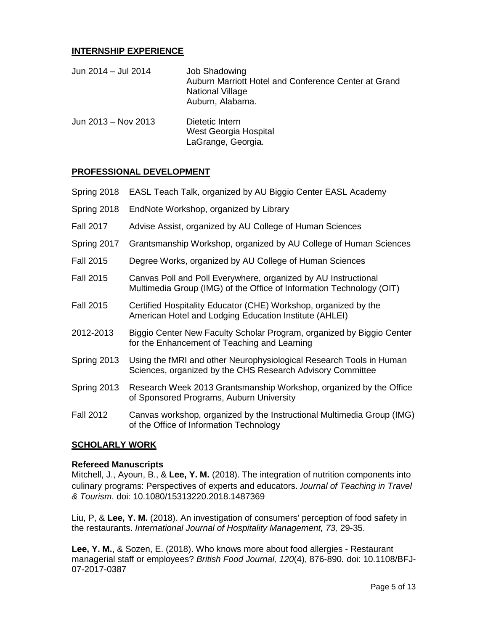#### **INTERNSHIP EXPERIENCE**

| Jun 2014 - Jul 2014 | <b>Job Shadowing</b><br>Auburn Marriott Hotel and Conference Center at Grand<br>National Village<br>Auburn, Alabama. |
|---------------------|----------------------------------------------------------------------------------------------------------------------|
| Jun 2013 - Nov 2013 | Dietetic Intern<br>West Georgia Hospital<br>LaGrange, Georgia.                                                       |

#### **PROFESSIONAL DEVELOPMENT**

- Spring 2018 EASL Teach Talk, organized by AU Biggio Center EASL Academy
- Spring 2018 EndNote Workshop, organized by Library
- Fall 2017 Advise Assist, organized by AU College of Human Sciences
- Spring 2017 Grantsmanship Workshop, organized by AU College of Human Sciences
- Fall 2015 Degree Works, organized by AU College of Human Sciences
- Fall 2015 Canvas Poll and Poll Everywhere, organized by AU Instructional Multimedia Group (IMG) of the Office of Information Technology (OIT)
- Fall 2015 Certified Hospitality Educator (CHE) Workshop, organized by the American Hotel and Lodging Education Institute (AHLEI)
- 2012-2013 Biggio Center New Faculty Scholar Program, organized by Biggio Center for the Enhancement of Teaching and Learning
- Spring 2013 Using the fMRI and other Neurophysiological Research Tools in Human Sciences, organized by the CHS Research Advisory Committee
- Spring 2013 Research Week 2013 Grantsmanship Workshop, organized by the Office of Sponsored Programs, Auburn University
- Fall 2012 Canvas workshop, organized by the Instructional Multimedia Group (IMG) of the Office of Information Technology

#### **SCHOLARLY WORK**

#### **Refereed Manuscripts**

Mitchell, J., Ayoun, B., & **Lee, Y. M.** (2018). The integration of nutrition components into culinary programs: Perspectives of experts and educators. *Journal of Teaching in Travel & Tourism*. doi: 10.1080/15313220.2018.1487369

Liu, P, & **Lee, Y. M.** (2018). An investigation of consumers' perception of food safety in the restaurants. *International Journal of Hospitality Management, 73,* 29-35.

**Lee, Y. M.**, & Sozen, E. (2018). Who knows more about food allergies - Restaurant managerial staff or employees? *British Food Journal, 120*(4), 876-890*.* doi: 10.1108/BFJ-07-2017-0387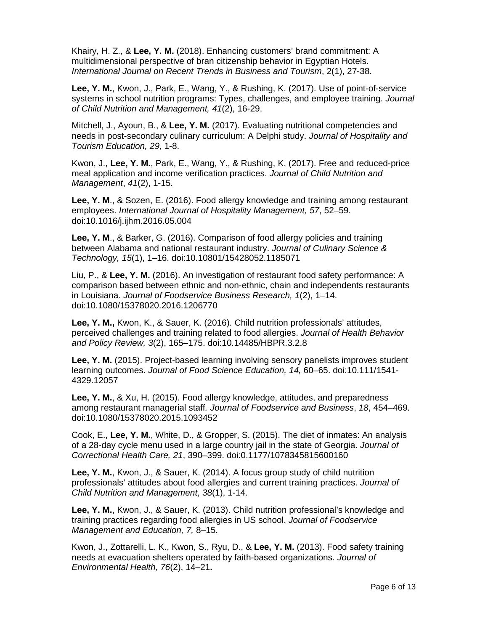Khairy, H. Z., & **Lee, Y. M.** (2018). Enhancing customers' brand commitment: A multidimensional perspective of bran citizenship behavior in Egyptian Hotels. *International Journal on Recent Trends in Business and Tourism*, 2(1), 27-38.

**Lee, Y. M.**, Kwon, J., Park, E., Wang, Y., & Rushing, K. (2017). Use of point-of-service systems in school nutrition programs: Types, challenges, and employee training. *Journal of Child Nutrition and Management, 41*(2), 16-29.

Mitchell, J., Ayoun, B., & **Lee, Y. M.** (2017). Evaluating nutritional competencies and needs in post-secondary culinary curriculum: A Delphi study. *Journal of Hospitality and Tourism Education, 29*, 1-8.

Kwon, J., **Lee, Y. M.**, Park, E., Wang, Y., & Rushing, K. (2017). Free and reduced-price meal application and income verification practices. *Journal of Child Nutrition and Management*, *41*(2), 1-15.

**Lee, Y. M**., & Sozen, E. (2016). Food allergy knowledge and training among restaurant employees. *International Journal of Hospitality Management, 57*, 52–59. doi:10.1016/j.ijhm.2016.05.004

**Lee, Y. M**., & Barker, G. (2016). Comparison of food allergy policies and training between Alabama and national restaurant industry. *Journal of Culinary Science & Technology, 15*(1), 1–16. doi:10.10801/15428052.1185071

Liu, P., & **Lee, Y. M.** (2016). An investigation of restaurant food safety performance: A comparison based between ethnic and non-ethnic, chain and independents restaurants in Louisiana. *Journal of Foodservice Business Research, 1*(2), 1–14. doi:10.1080/15378020.2016.1206770

**Lee, Y. M.,** Kwon, K., & Sauer, K. (2016). Child nutrition professionals' attitudes, perceived challenges and training related to food allergies. *Journal of Health Behavior and Policy Review, 3*(2), 165–175. doi:10.14485/HBPR.3.2.8

**Lee, Y. M.** (2015). Project-based learning involving sensory panelists improves student learning outcomes. *Journal of Food Science Education, 14,* 60–65. doi:10.111/1541- 4329.12057

**Lee, Y. M.**, & Xu, H. (2015). Food allergy knowledge, attitudes, and preparedness among restaurant managerial staff*. Journal of Foodservice and Business*, *18*, 454–469. doi:10.1080/15378020.2015.1093452

Cook, E., **Lee, Y. M.**, White, D., & Gropper, S. (2015). The diet of inmates: An analysis of a 28-day cycle menu used in a large country jail in the state of Georgia. *Journal of Correctional Health Care, 21*, 390–399. doi:0.1177/1078345815600160

**Lee, Y. M.**, Kwon, J., & Sauer, K. (2014). A focus group study of child nutrition professionals' attitudes about food allergies and current training practices. *Journal of Child Nutrition and Management*, *38*(1), 1-14.

**Lee, Y. M.**, Kwon, J., & Sauer, K. (2013). Child nutrition professional's knowledge and training practices regarding food allergies in US school. *Journal of Foodservice Management and Education, 7,* 8–15.

Kwon, J., Zottarelli, L. K., Kwon, S., Ryu, D., & **Lee, Y. M.** (2013). Food safety training needs at evacuation shelters operated by faith-based organizations. *Journal of Environmental Health, 76*(2), 14–21**.**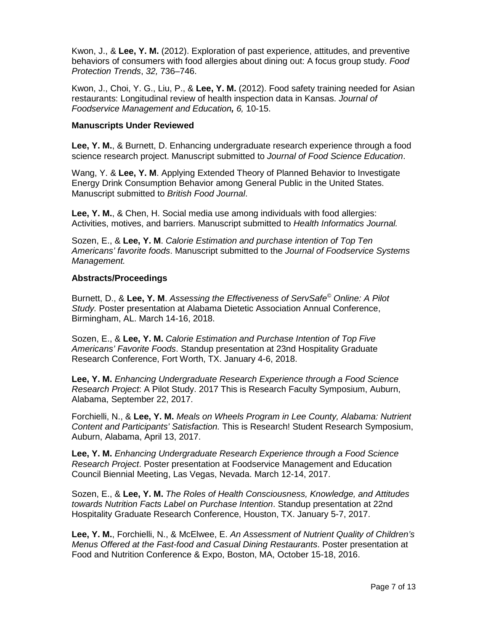Kwon, J., & **Lee, Y. M.** (2012). Exploration of past experience, attitudes, and preventive behaviors of consumers with food allergies about dining out: A focus group study. *Food Protection Trends*, *32,* 736–746.

Kwon, J., Choi, Y. G., Liu, P., & **Lee, Y. M.** (2012). Food safety training needed for Asian restaurants: Longitudinal review of health inspection data in Kansas. *Journal of Foodservice Management and Education, 6,* 10-15.

#### **Manuscripts Under Reviewed**

**Lee, Y. M.**, & Burnett, D. Enhancing undergraduate research experience through a food science research project. Manuscript submitted to *Journal of Food Science Education*.

Wang, Y. & **Lee, Y. M**. Applying Extended Theory of Planned Behavior to Investigate Energy Drink Consumption Behavior among General Public in the United States. Manuscript submitted to *British Food Journal*.

**Lee, Y. M.**, & Chen, H. Social media use among individuals with food allergies: Activities, motives, and barriers. Manuscript submitted to *Health Informatics Journal.*

Sozen, E., & **Lee, Y. M**. *Calorie Estimation and purchase intention of Top Ten Americans' favorite foods*. Manuscript submitted to the *Journal of Foodservice Systems Management.*

#### **Abstracts/Proceedings**

Burnett, D., & **Lee, Y. M**. *Assessing the Effectiveness of ServSafe© Online: A Pilot Study.* Poster presentation at Alabama Dietetic Association Annual Conference, Birmingham, AL. March 14-16, 2018.

Sozen, E., & **Lee, Y. M.** *Calorie Estimation and Purchase Intention of Top Five Americans' Favorite Foods*. Standup presentation at 23nd Hospitality Graduate Research Conference, Fort Worth, TX. January 4-6, 2018.

**Lee, Y. M.** *Enhancing Undergraduate Research Experience through a Food Science Research Project*: A Pilot Study. 2017 This is Research Faculty Symposium, Auburn, Alabama, September 22, 2017.

Forchielli, N., & **Lee, Y. M.** *Meals on Wheels Program in Lee County, Alabama: Nutrient Content and Participants' Satisfaction.* This is Research! Student Research Symposium, Auburn, Alabama, April 13, 2017.

**Lee, Y. M.** *Enhancing Undergraduate Research Experience through a Food Science Research Project*. Poster presentation at Foodservice Management and Education Council Biennial Meeting, Las Vegas, Nevada. March 12-14, 2017.

Sozen, E., & **Lee, Y. M.** *The Roles of Health Consciousness, Knowledge, and Attitudes towards Nutrition Facts Label on Purchase Intention*. Standup presentation at 22nd Hospitality Graduate Research Conference, Houston, TX. January 5-7, 2017.

**Lee, Y. M.**, Forchielli, N., & McElwee, E. *An Assessment of Nutrient Quality of Children's Menus Offered at the Fast-food and Casual Dining Restaurants*. Poster presentation at Food and Nutrition Conference & Expo, Boston, MA, October 15-18, 2016.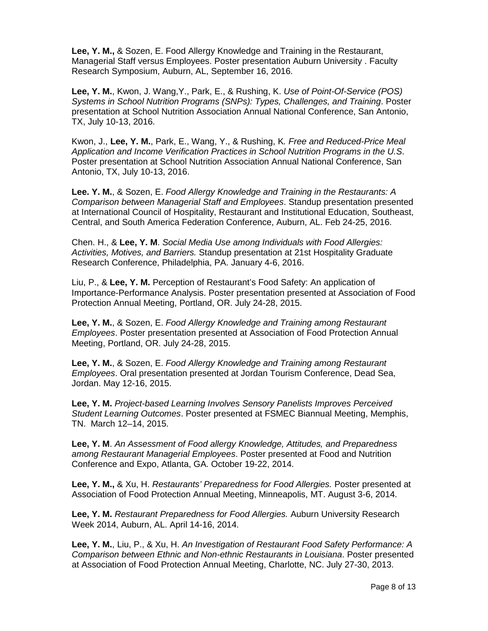**Lee, Y. M.,** & Sozen, E. Food Allergy Knowledge and Training in the Restaurant, Managerial Staff versus Employees. Poster presentation Auburn University . Faculty Research Symposium, Auburn, AL, September 16, 2016.

**Lee, Y. M.**, Kwon, J. Wang,Y., Park, E., & Rushing, K. *Use of Point-Of-Service (POS) Systems in School Nutrition Programs (SNPs): Types, Challenges, and Training*. Poster presentation at School Nutrition Association Annual National Conference, San Antonio, TX, July 10-13, 2016.

Kwon, J., **Lee, Y. M.**, Park, E., Wang, Y., & Rushing, K*. Free and Reduced-Price Meal Application and Income Verification Practices in School Nutrition Programs in the U.S*. Poster presentation at School Nutrition Association Annual National Conference, San Antonio, TX, July 10-13, 2016.

**Lee. Y. M.**, & Sozen, E. *Food Allergy Knowledge and Training in the Restaurants: A Comparison between Managerial Staff and Employees*. Standup presentation presented at International Council of Hospitality, Restaurant and Institutional Education, Southeast, Central, and South America Federation Conference, Auburn, AL. Feb 24-25, 2016.

Chen. H., & **Lee, Y. M**. *Social Media Use among Individuals with Food Allergies: Activities, Motives, and Barriers.* Standup presentation at 21st Hospitality Graduate Research Conference, Philadelphia, PA. January 4-6, 2016.

Liu, P., & **Lee, Y. M.** Perception of Restaurant's Food Safety: An application of Importance-Performance Analysis. Poster presentation presented at Association of Food Protection Annual Meeting, Portland, OR. July 24-28, 2015.

**Lee, Y. M.**, & Sozen, E. *Food Allergy Knowledge and Training among Restaurant Employees*. Poster presentation presented at Association of Food Protection Annual Meeting, Portland, OR. July 24-28, 2015.

**Lee, Y. M.**, & Sozen, E. *Food Allergy Knowledge and Training among Restaurant Employees*. Oral presentation presented at Jordan Tourism Conference, Dead Sea, Jordan. May 12-16, 2015.

**Lee, Y. M.** *Project-based Learning Involves Sensory Panelists Improves Perceived Student Learning Outcomes*. Poster presented at FSMEC Biannual Meeting, Memphis, TN. March 12–14, 2015.

**Lee, Y. M**. *An Assessment of Food allergy Knowledge, Attitudes, and Preparedness among Restaurant Managerial Employees*. Poster presented at Food and Nutrition Conference and Expo, Atlanta, GA. October 19-22, 2014.

**Lee, Y. M.,** & Xu, H. *Restaurants' Preparedness for Food Allergies.* Poster presented at Association of Food Protection Annual Meeting, Minneapolis, MT. August 3-6, 2014.

**Lee, Y. M.** *Restaurant Preparedness for Food Allergies.* Auburn University Research Week 2014, Auburn, AL. April 14-16, 2014.

**Lee, Y. M.**, Liu, P., & Xu, H. *An Investigation of Restaurant Food Safety Performance: A Comparison between Ethnic and Non-ethnic Restaurants in Louisiana*. Poster presented at Association of Food Protection Annual Meeting, Charlotte, NC. July 27-30, 2013.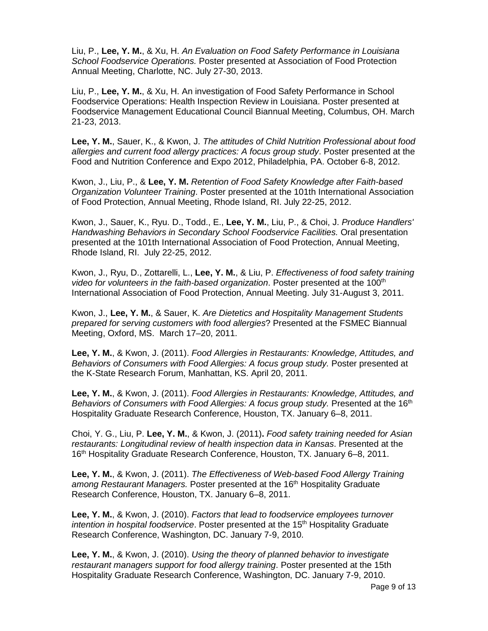Liu, P., **Lee, Y. M.**, & Xu, H. *An Evaluation on Food Safety Performance in Louisiana School Foodservice Operations.* Poster presented at Association of Food Protection Annual Meeting, Charlotte, NC. July 27-30, 2013.

Liu, P., **Lee, Y. M.**, & Xu, H. An investigation of Food Safety Performance in School Foodservice Operations: Health Inspection Review in Louisiana. Poster presented at Foodservice Management Educational Council Biannual Meeting, Columbus, OH. March 21-23, 2013.

**Lee, Y. M.**, Sauer, K., & Kwon, J. *The attitudes of Child Nutrition Professional about food allergies and current food allergy practices: A focus group study*. Poster presented at the Food and Nutrition Conference and Expo 2012, Philadelphia, PA. October 6-8, 2012.

Kwon, J., Liu, P., & **Lee, Y. M.** *Retention of Food Safety Knowledge after Faith-based Organization Volunteer Training*. Poster presented at the 101th International Association of Food Protection, Annual Meeting, Rhode Island, RI. July 22-25, 2012.

Kwon, J., Sauer, K., Ryu. D., Todd., E., **Lee, Y. M.**, Liu, P., & Choi, J. *Produce Handlers' Handwashing Behaviors in Secondary School Foodservice Facilities.* Oral presentation presented at the 101th International Association of Food Protection, Annual Meeting, Rhode Island, RI. July 22-25, 2012.

Kwon, J., Ryu, D., Zottarelli, L., **Lee, Y. M.**, & Liu, P. *Effectiveness of food safety training video for volunteers in the faith-based organization*. Poster presented at the 100<sup>th</sup> International Association of Food Protection, Annual Meeting. July 31-August 3, 2011.

Kwon, J., **Lee, Y. M.**, & Sauer, K. *Are Dietetics and Hospitality Management Students prepared for serving customers with food allergies*? Presented at the FSMEC Biannual Meeting, Oxford, MS. March 17–20, 2011.

**Lee, Y. M.**, & Kwon, J. (2011). *Food Allergies in Restaurants: Knowledge, Attitudes, and Behaviors of Consumers with Food Allergies: A focus group study.* Poster presented at the K-State Research Forum, Manhattan, KS. April 20, 2011.

**Lee, Y. M.**, & Kwon, J. (2011). *Food Allergies in Restaurants: Knowledge, Attitudes, and Behaviors of Consumers with Food Allergies: A focus group study.* Presented at the 16<sup>th</sup> Hospitality Graduate Research Conference, Houston, TX. January 6–8, 2011.

Choi, Y. G., Liu, P. **Lee, Y. M.**, & Kwon, J. (2011)**.** *Food safety training needed for Asian restaurants: Longitudinal review of health inspection data in Kansas*. Presented at the 16th Hospitality Graduate Research Conference, Houston, TX. January 6–8, 2011.

**Lee, Y. M.**, & Kwon, J. (2011). *The Effectiveness of Web-based Food Allergy Training*  among Restaurant Managers. Poster presented at the 16<sup>th</sup> Hospitality Graduate Research Conference, Houston, TX. January 6–8, 2011.

**Lee, Y. M.**, & Kwon, J. (2010). *Factors that lead to foodservice employees turnover intention in hospital foodservice*. Poster presented at the 15<sup>th</sup> Hospitality Graduate Research Conference, Washington, DC. January 7-9, 2010.

**Lee, Y. M.**, & Kwon, J. (2010). *Using the theory of planned behavior to investigate restaurant managers support for food allergy training*. Poster presented at the 15th Hospitality Graduate Research Conference, Washington, DC. January 7-9, 2010.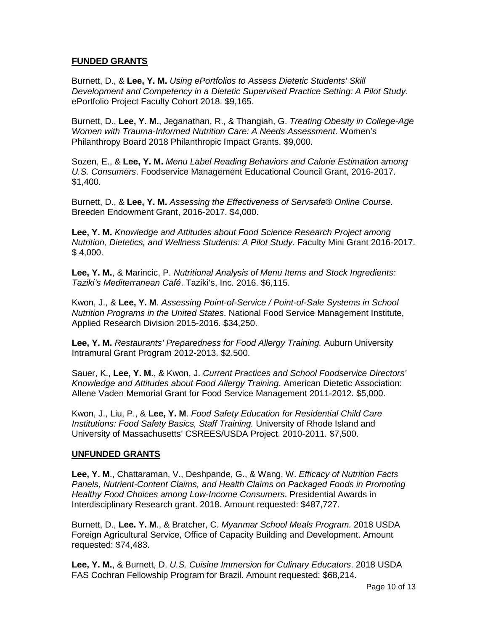# **FUNDED GRANTS**

Burnett, D., & **Lee, Y. M.** *Using ePortfolios to Assess Dietetic Students' Skill Development and Competency in a Dietetic Supervised Practice Setting: A Pilot Study*. ePortfolio Project Faculty Cohort 2018. \$9,165.

Burnett, D., **Lee, Y. M.**, Jeganathan, R., & Thangiah, G. *Treating Obesity in College-Age Women with Trauma-Informed Nutrition Care: A Needs Assessment*. Women's Philanthropy Board 2018 Philanthropic Impact Grants. \$9,000.

Sozen, E., & **Lee, Y. M.** *Menu Label Reading Behaviors and Calorie Estimation among U.S. Consumers*. Foodservice Management Educational Council Grant, 2016-2017. \$1,400.

Burnett, D., & **Lee, Y. M.** *Assessing the Effectiveness of Servsafe® Online Course*. Breeden Endowment Grant, 2016-2017. \$4,000.

**Lee, Y. M.** *Knowledge and Attitudes about Food Science Research Project among Nutrition, Dietetics, and Wellness Students: A Pilot Study*. Faculty Mini Grant 2016-2017.  $$4,000.$ 

**Lee, Y. M.**, & Marincic, P. *Nutritional Analysis of Menu Items and Stock Ingredients: Taziki's Mediterranean Café*. Taziki's, Inc. 2016. \$6,115.

Kwon, J., & **Lee, Y. M**. *Assessing Point-of-Service / Point-of-Sale Systems in School Nutrition Programs in the United States*. National Food Service Management Institute, Applied Research Division 2015-2016. \$34,250.

**Lee, Y. M.** *Restaurants' Preparedness for Food Allergy Training.* Auburn University Intramural Grant Program 2012-2013. \$2,500.

Sauer, K., **Lee, Y. M.**, & Kwon, J. *Current Practices and School Foodservice Directors' Knowledge and Attitudes about Food Allergy Training*. American Dietetic Association: Allene Vaden Memorial Grant for Food Service Management 2011-2012. \$5,000.

Kwon, J., Liu, P., & **Lee, Y. M**. *Food Safety Education for Residential Child Care Institutions: Food Safety Basics, Staff Training.* University of Rhode Island and University of Massachusetts' CSREES/USDA Project. 2010-2011. \$7,500.

#### **UNFUNDED GRANTS**

**Lee, Y. M**., Chattaraman, V., Deshpande, G., & Wang, W. *Efficacy of Nutrition Facts Panels, Nutrient-Content Claims, and Health Claims on Packaged Foods in Promoting Healthy Food Choices among Low-Income Consumers*. Presidential Awards in Interdisciplinary Research grant. 2018. Amount requested: \$487,727.

Burnett, D., **Lee. Y. M**., & Bratcher, C. *Myanmar School Meals Program.* 2018 USDA Foreign Agricultural Service, Office of Capacity Building and Development. Amount requested: \$74,483.

**Lee, Y. M.**, & Burnett, D. *U.S. Cuisine Immersion for Culinary Educators*. 2018 USDA FAS Cochran Fellowship Program for Brazil. Amount requested: \$68,214.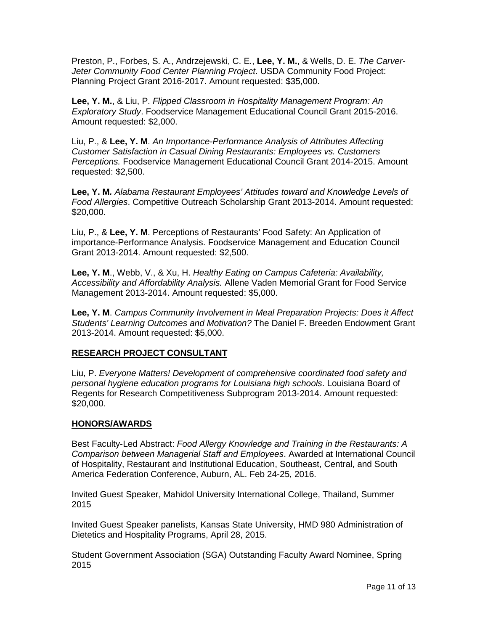Preston, P., Forbes, S. A., Andrzejewski, C. E., **Lee, Y. M.**, & Wells, D. E. *The Carver-Jeter Community Food Center Planning Project*. USDA Community Food Project: Planning Project Grant 2016-2017. Amount requested: \$35,000.

**Lee, Y. M.**, & Liu, P. *Flipped Classroom in Hospitality Management Program: An Exploratory Study*. Foodservice Management Educational Council Grant 2015-2016. Amount requested: \$2,000.

Liu, P., & **Lee, Y. M**. *An Importance-Performance Analysis of Attributes Affecting Customer Satisfaction in Casual Dining Restaurants: Employees vs. Customers Perceptions.* Foodservice Management Educational Council Grant 2014-2015. Amount requested: \$2,500.

**Lee, Y. M***. Alabama Restaurant Employees' Attitudes toward and Knowledge Levels of Food Allergies*. Competitive Outreach Scholarship Grant 2013-2014. Amount requested: \$20,000.

Liu, P., & **Lee, Y. M**. Perceptions of Restaurants' Food Safety: An Application of importance-Performance Analysis. Foodservice Management and Education Council Grant 2013-2014. Amount requested: \$2,500.

**Lee, Y. M**., Webb, V., & Xu, H. *Healthy Eating on Campus Cafeteria: Availability, Accessibility and Affordability Analysis.* Allene Vaden Memorial Grant for Food Service Management 2013-2014. Amount requested: \$5,000.

**Lee, Y. M**. *Campus Community Involvement in Meal Preparation Projects: Does it Affect Students' Learning Outcomes and Motivation?* The Daniel F. Breeden Endowment Grant 2013-2014. Amount requested: \$5,000.

#### **RESEARCH PROJECT CONSULTANT**

Liu, P. *Everyone Matters! Development of comprehensive coordinated food safety and personal hygiene education programs for Louisiana high schools*. Louisiana Board of Regents for Research Competitiveness Subprogram 2013-2014. Amount requested: \$20,000.

#### **HONORS/AWARDS**

Best Faculty-Led Abstract: *Food Allergy Knowledge and Training in the Restaurants: A Comparison between Managerial Staff and Employees*. Awarded at International Council of Hospitality, Restaurant and Institutional Education, Southeast, Central, and South America Federation Conference, Auburn, AL. Feb 24-25, 2016.

Invited Guest Speaker, Mahidol University International College, Thailand, Summer 2015

Invited Guest Speaker panelists, Kansas State University, HMD 980 Administration of Dietetics and Hospitality Programs, April 28, 2015.

Student Government Association (SGA) Outstanding Faculty Award Nominee, Spring 2015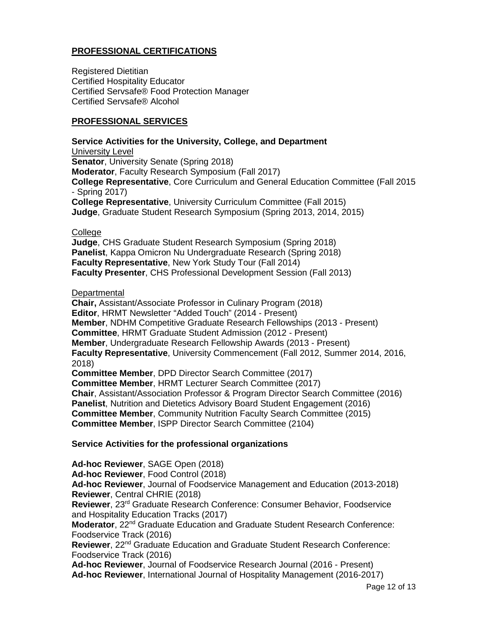# **PROFESSIONAL CERTIFICATIONS**

Registered Dietitian Certified Hospitality Educator Certified Servsafe® Food Protection Manager Certified Servsafe® Alcohol

#### **PROFESSIONAL SERVICES**

**Service Activities for the University, College, and Department** University Level **Senator, University Senate (Spring 2018) Moderator**, Faculty Research Symposium (Fall 2017) **College Representative**, Core Curriculum and General Education Committee (Fall 2015 - Spring 2017) **College Representative**, University Curriculum Committee (Fall 2015) **Judge**, Graduate Student Research Symposium (Spring 2013, 2014, 2015)

**College** 

**Judge**, CHS Graduate Student Research Symposium (Spring 2018) **Panelist**, Kappa Omicron Nu Undergraduate Research (Spring 2018) **Faculty Representative**, New York Study Tour (Fall 2014) **Faculty Presenter**, CHS Professional Development Session (Fall 2013)

**Departmental** 

**Chair,** Assistant/Associate Professor in Culinary Program (2018) **Editor**, HRMT Newsletter "Added Touch" (2014 - Present) **Member**, NDHM Competitive Graduate Research Fellowships (2013 - Present) **Committee**, HRMT Graduate Student Admission (2012 - Present) **Member**, Undergraduate Research Fellowship Awards (2013 - Present) **Faculty Representative**, University Commencement (Fall 2012, Summer 2014, 2016, 2018) **Committee Member**, DPD Director Search Committee (2017) **Committee Member**, HRMT Lecturer Search Committee (2017) **Chair**, Assistant/Association Professor & Program Director Search Committee (2016) **Panelist**, Nutrition and Dietetics Advisory Board Student Engagement (2016) **Committee Member**, Community Nutrition Faculty Search Committee (2015) **Committee Member**, ISPP Director Search Committee (2104)

# **Service Activities for the professional organizations**

**Ad-hoc Reviewer**, SAGE Open (2018) **Ad-hoc Reviewer**, Food Control (2018) **Ad-hoc Reviewer**, Journal of Foodservice Management and Education (2013-2018) **Reviewer**, Central CHRIE (2018) **Reviewer**, 23rd Graduate Research Conference: Consumer Behavior, Foodservice and Hospitality Education Tracks (2017) **Moderator**, 22<sup>nd</sup> Graduate Education and Graduate Student Research Conference: Foodservice Track (2016) **Reviewer**, 22nd Graduate Education and Graduate Student Research Conference: Foodservice Track (2016) **Ad-hoc Reviewer**, Journal of Foodservice Research Journal (2016 - Present) **Ad-hoc Reviewer**, International Journal of Hospitality Management (2016-2017)